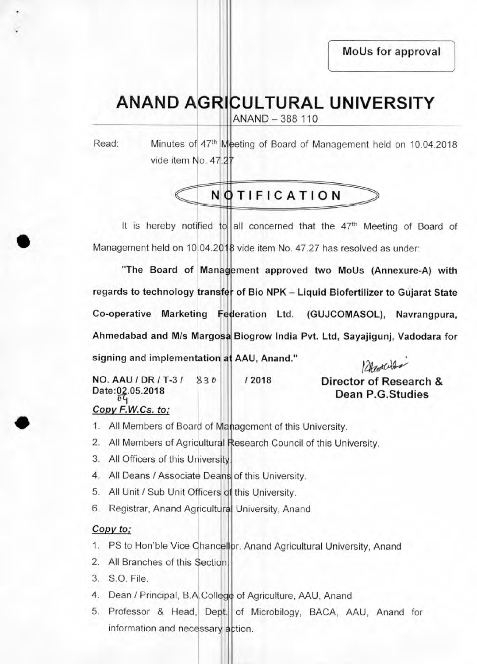**MoUs for approval** 

# **ANAND AGRICULTURAL UNIVERSITY**

ANAND — 388 110

Read: Minutes of 47<sup>th</sup> Meeting of Board of Management held on 10.04.2018 vide item No. 47.27



It is hereby notified to all concerned that the 47<sup>th</sup> Meeting of Board of Management held on 10.04.2018 vide item No. 47.27 has resolved as under:

**"The Board of Management approved two MoUs (Annexure-A) with**  regards to technology transfer of Bio NPK - Liquid Biofertilizer to Gujarat State **Co-operative Marketing Federation Ltd. (GUJCOMASOL), Navrangpura, Ahmedabad and M/s Margosa Biogrow India Pvt. Ltd, Sayajigunj, Vadodara for signing and implementation at AAU, Anand."** *Mr. Kulte* 

Date:02.05.2018

**Uti Dean P.G.Studies** 

**NO. AAU / DR / T-3 /** 83a / **<sup>2018</sup>Director of Research &** 

## **Copy F.VV.Cs. to;**

- 1. All Members of Board of Management of this University.
- 2. All Members of Agricultural Research Council of this University.
- 3. All Officers of this University
- 4. All Deans / Associate Deans **of** this University.
- 5. All Unit / Sub Unit Officers of this University.
- 6. Registrar, Anand Agricultural University, Anand

## **Copy to;**

1. PS to Hon'ble Vice Chancellor, Anand Agricultural University, Anand

- 2. All Branches of this Section
- 3. S.O. File.
- 4. Dean / Principal, B.A.College of Agriculture, AAU, Anand
- 5. Professor & Head, Dept. of Microbilogy, BACA, AAU, Anand for information and necessary **a** ction.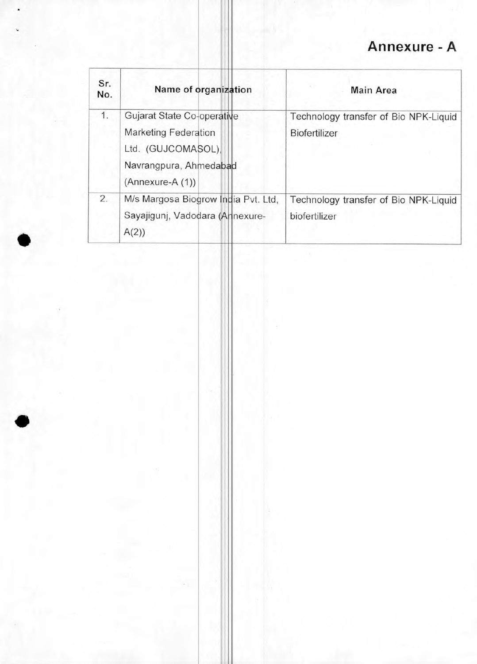## **Annexure - A**

| Sr.<br>No. | Name of organization                                                                                                          | <b>Main Area</b>                                              |
|------------|-------------------------------------------------------------------------------------------------------------------------------|---------------------------------------------------------------|
| 1.         | Gujarat State Co-operative<br><b>Marketing Federation</b><br>Ltd. (GUJCOMASOL),<br>Navrangpura, Ahmedabad<br>(Annexure-A (1)) | Technology transfer of Bio NPK-Liquid<br><b>Biofertilizer</b> |
| 2.         | M/s Margosa Biogrow India Pvt. Ltd.<br>Sayajigunj, Vadodara (Ahnexure-<br>A(2)                                                | Technology transfer of Bio NPK-Liquid<br>biofertilizer        |

 $\bullet$ 

i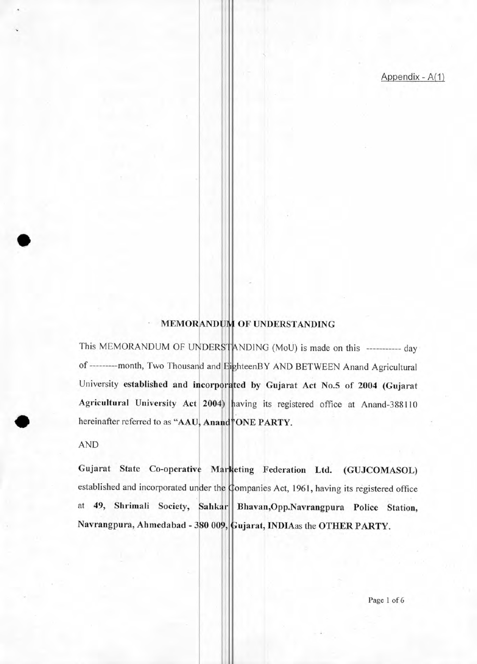Appendix - A(1)

## MEMORANDUM OF UNDERSTANDING

This MEMORANDUM OF UNDERSTANDING (MoU) is made on this ----------- day of ---------month, Two Thousand and EighteenBY AND BETWEEN Anand Agricultural University established and incorporated by Gujarat Act No.5 of 2004 (Gujarat Agricultural University Act 2004) having its registered office at Anand-388110 hereinafter referred to as "AAU, Anand"ONE PARTY.

AND

Gujarat State Co-operative Marketing Federation Ltd. (GUJCOMASOL) established and incorporated under the Companies Act, 1961, having its registered office at 49, Shrimali Society, Sahkar Bhavan, Opp.Navrangpura Police Station, Navrangpura, Ahmedabad - 380 009, Gujarat, INDIAas the OTHER PARTY.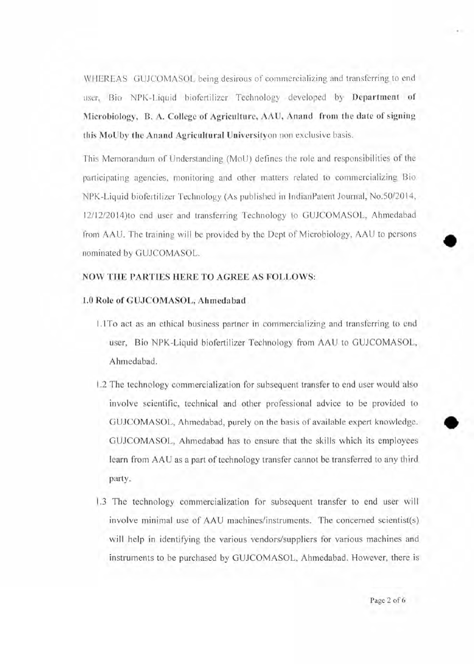WHEREAS GUJCOMASOL being desirous of commercializing and transferring to end user, Bio NPK-Liquid biofertilizer Technology developed by Department of Microbiology, B. A. College of Agriculture, AAU, Anand from the date of signing this MoUby the Anand Agricultural Universityon non exclusive basis.

This Memorandum of Understanding (MoU) defines the role and responsibilities of the participating agencies, monitoring and other matters related to commercializing Bio NPK-Liquid biofertilizer Technology (As published in IndianPatent Journal, No.50/2014, <sup>1</sup> 2/1 2/2014)to end user and transferring Technology to GUJCOMASOL, Ahmedabad from AAU. The training will be provided by the Dept of Microbiology, AAU to persons nominated by GUJCOMASOL.

## NOW THE PARTIES HERE TO AGREE AS FOLLOWS:

### 1.0 Role of GUJCOMASOL, Ahmedabad

- 1.1To act as an ethical business partner in commercializing and transferring to end user, Bio NPK-Liquid biofertilizer Technology from AAU to GUJCOMASOL, Ahmedabad.
- 1.2 The technology commercialization for subsequent transfer to end user would also involve scientific, technical and other professional advice to be provided to GUJCOMASOL, Ahmedabad, purely on the basis of available expert knowledge. GUJCOMASOL, Ahmedabad has to ensure that the skills which its employees learn from AAU as a part of technology transfer cannot be transferred to any third party.
- 1.3 The technology commercialization for subsequent transfer to end user will involve minimal use of AAU machines/instruments. The concerned scientist(s) will help in identifying the various vendors/suppliers for various machines and instruments to be purchased by GUJCOMASOL, Ahmedabad. However, there is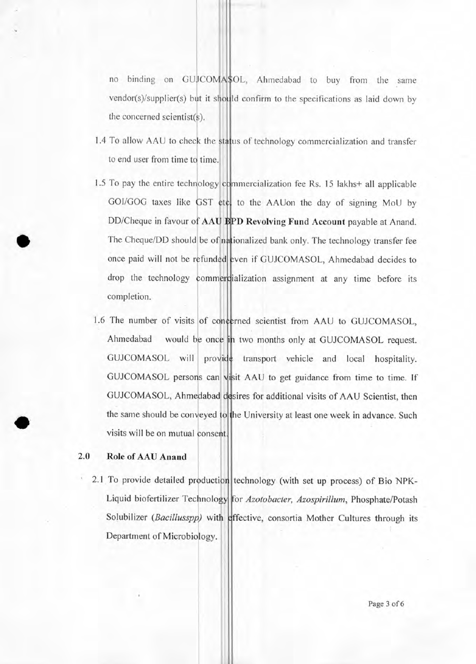no binding on GUICOMASOL, Ahmedabad to buy from the same vendor(s)/supplier(s) but it should confirm to the specifications as laid down by the concerned scientist $(s)$ .

- 1.4 To allow AAU to check the status of technology commercialization and transfer to end user from time to time.
- 1.5 To pay the entire technology commercialization fee Rs. 15 lakhs+ all applicable GOI/GOG taxes like GST etc. to the AAUon the day of signing MoU by DD/Cheque in favour of AAU BPD Revolving Fund Account payable at Anand. The Cheque/DD should be of nationalized bank only. The technology transfer fee once paid will not be refunded even if GUJCOMASOL, Ahmedabad decides to drop the technology commercialization assignment at any time before its completion.
- 1.6 The number of visits of concerned scientist from AAU to GUJCOMASOL, Ahmedabad would be once in two months only at GUJCOMASOL request. GUJCOMASOL will provide transport vehicle and local hospitality. GUJCOMASOL persons can visit AAU to get guidance from time to time. If GUJCOMASOL, Ahmedabad desires for additional visits of AAU Scientist, then the same should be conveyed to the University at least one week in advance. Such visits will be on mutual consent.

## **2.0 Role of AAU Anand**

2.1 To provide detailed production technology (with set up process) of Bio NPK-Liquid biofertilizer Technology for Azotobacter, Azospirillum, Phosphate/Potash Solubilizer (Bacillusspp) with effective, consortia Mother Cultures through its Department of Microbiology.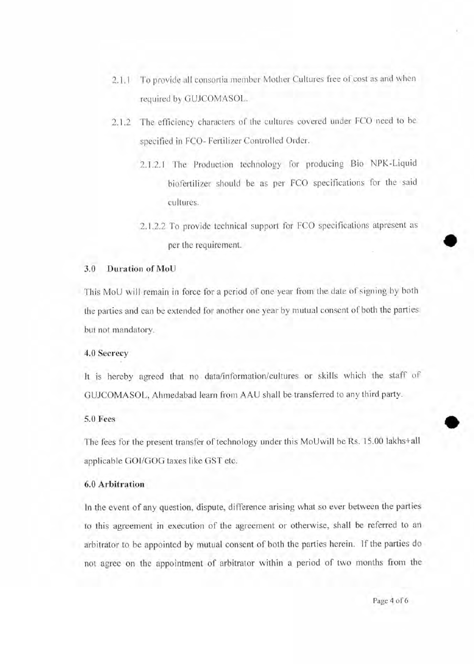- 2.1.1 To provide all consortia member Mother Cultures free of cost as and when required by GUJCOMASOL.
- 2.1.2 The efficiency characters of the cultures covered under FCO need to be specified in FCO- Fertilizer Controlled Order.
	- 2.1.2.1 The Production technology for producing Bio NPK-Liquid biofertilizer should be as per FCO specifications for the said cultures.
	- 2.1.2.2 To provide technical support for FCO specifications atpresent as To provide technical support for FCO specifications at<br>present as per the requirement.

## **3.0 Duration of MoU**

This MoU will remain in force for a period of one year from the date of signing by both the parties and can be extended for another one year by mutual consent of both the parties but not mandatory.

## **4.0 Secrecy**

It is hereby agreed that no data/information/cultures or skills which the staff of GUJCOMASOL, Ahmedabad learn from AAU shall be transferred to any third party.

## **5.0 Fees**

The fees for the present transfer of technology under this MoUwill be Rs. 15.00 lakhs+all applicable GOI/GOG taxes like GST etc.

## **6.0 Arbitration**

In the event of any question, dispute, difference arising what so ever between the parties to this agreement in execution of the agreement or otherwise, shall be referred to an arbitrator to be appointed by mutual consent of both the parties herein. If the parties do not agree on the appointment of arbitrator within a period of two months from the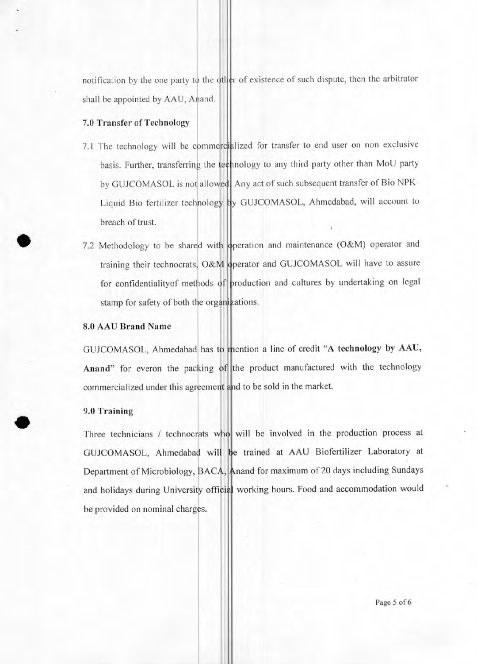notification by the one party to the other of existence of such dispute, then the arbitrator shall be appointed by AAU, Anand.

## 7.0 Transfer of Technology

- 7.1 The technology will be commercialized for transfer to end user on non exclusive basis. Further, transferring the technology to any third party other than MoU party by GUJCOMASOL is not allowed. Any act of such subsequent transfer of Bio NPK-Liquid Bio fertilizer technology by GUJCOMASOL, Ahmedabad, will account to breach of trust.
- 7.2 Methodology to be shared with operation and maintenance (O&M) operator and training their technocrats, O&M operator and GUJCOMASOL will have to assure for confidentialityof methods of production and cultures by undertaking on legal stamp for safety of both the organizations.

### 8.0 AAU Brand Name

GUJCOMASOL, Ahmedabad has to mention a line of credit "A technology by AAU, Anand" for everon the packing of the product manufactured with the technology commercialized under this agreement and to be sold in the market.

### 9.0 Training

Three technicians / technocrats who will be involved in the production process at GUJCOMASOL, Ahmedabad will be trained at AAU Biofertilizer Laboratory at Department of Microbiology, BACA, Anand for maximum of 20 days including Sundays and holidays during University official working hours. Food and accommodation would be provided on nominal charges.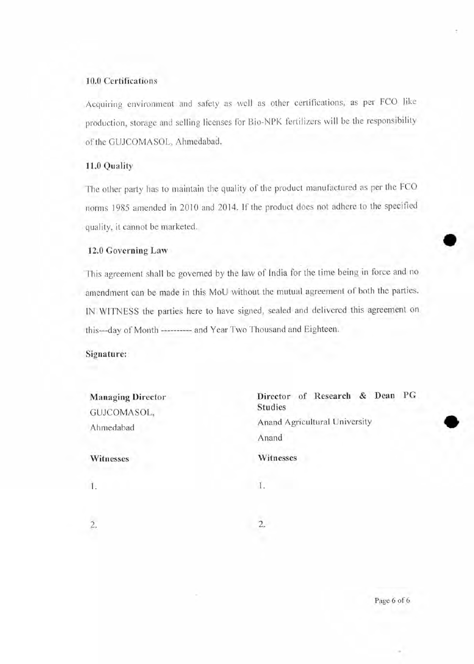## 10.0 Certifications

Acquiring environment and safety as well as other certifications, as per FCO like production, storage and selling licenses for Bio-NPK fertilizers will be the responsibility of the GUJCOMASOL, Ahmedabad.

## **11.0 Quality**

The other party has to maintain the quality of the product manufactured as per the FCO norms 1985 amended in 2010 and 2014. If the product does not adhere to the specified quality, it cannot be marketed.

## 12.0 Governing Law

This agreement shall be governed by the law of India for the time being in force and no amendment can be made in this MoU without the mutual agreement of both the parties. IN WITNESS the parties here to have signed, sealed and delivered this agreement on this---day of Month ---------- and Year Two Thousand and Eighteen.

**Signature:** 

**Managing Director**  GUJCOMASOL, Ahmedabad

**Director of Research & Dean PG Studies**  Anand Agricultural University Anand **Witnesses Witnesses** 

1.

 $2.$ 

Ť.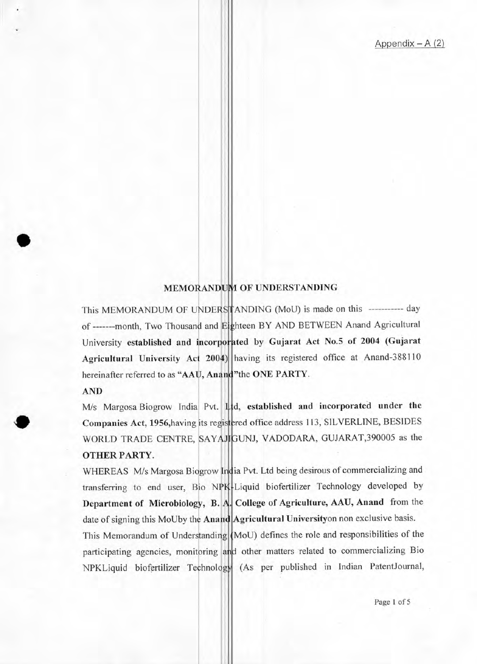## MEMORANDUM OF UNDERSTANDING

This MEMORANDUM OF UNDERSTANDING (MoU) is made on this ----------- day of --------month, Two Thousand and Eighteen BY AND BETWEEN Anand Agricultural University established and incorporated by Gujarat Act No.5 of 2004 (Gujarat Agricultural University Act 2004) having its registered office at Anand-388110 hereinafter referred to as "AAU, Anand" the ONE PARTY.

## AND

M/s Margosa Biogrow India Pvt. Ltd, established and incorporated under the Companies Act, 1956, having its registered office address 113, SILVERLINE, BESIDES WORLD TRADE CENTRE, SAYAJIGUNJ, VADODARA, GUJARAT,390005 as the **OTHER PARTY.** 

WHEREAS M/s Margosa Biogrow India Pvt. Ltd being desirous of commercializing and transferring to end user, Bio NPK-Liquid biofertilizer Technology developed by Department of Microbiology, B. A. College of Agriculture, AAU, Anand from the date of signing this MoUby the Anand **Agricultural Universityon** non exclusive basis.

This Memorandum of Understanding (MoU) defines the role and responsibilities of the participating agencies, monitoring and other matters related to commercializing Bio NPKLiquid biofertilizer Technology (As per published in Indian PatentJournal,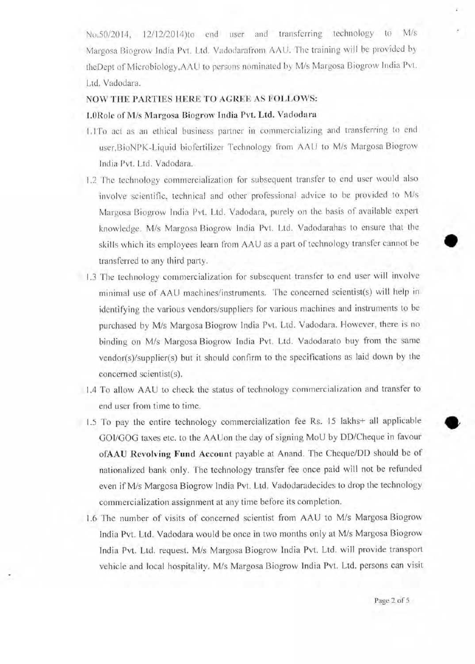No.50/2014, 12/12/2014)to end user and transferring technology to M/s Margosa Biogrow India Pvt. Ltd. Vadodarafrom AAU. The training will be provided by theDept of Microbiology,AAU to persons nominated by M/s Margosa Biogrow India Pvt. Ltd. Vadodara.

## NOW THE PARTIES HERE TO AGREE AS FOLLOWS:

## 1.0Role of M/s Margosa Biogrow India Pvt. Ltd. Vadodara

- 1.1To act as an ethical business partner in commercializing and transferring to end user,BioNPK-Liquid biofertilizer Technology from AAU to M/s Margosa Biogrow India Pvt. Ltd. Vadodara.
- 1.2 The technology commercialization for subsequent transfer to end user would also involve scientific, technical and other professional advice to be provided to M/s Margosa Biogrow India Pvt. Ltd. Vadodara, purely on the basis of available expert knowledge. M/s Margosa Biogrow India Pvt. Ltd. Vadodarahas to ensure that the skills which its employees learn from AAU as a part of technology transfer cannot be transferred to any third party.
- 1.3 The technology commercialization for subsequent transfer to end user will involve minimal use of AAU machines/instruments. The concerned scientist(s) will help in identifying the various vendors/suppliers for various machines and instruments to be purchased by M/s Margosa Biogrow India Pvt. Ltd. Vadodara. However, there is no binding on M/s Margosa Biogrow India Pvt. Ltd. Vadodarato buy from the same vendor(s)/supplier(s) but it should confirm to the specifications as laid down by the concerned scientist(s).
- 1.4 To allow AAU to check the status of technology commercialization and transfer to end user from time to time.
- 1.5 To pay the entire technology commercialization fee Rs. 15 lakhs+ all applicable GOI/GOG taxes etc. to the AAUon the day of signing MoU by DD/Cheque in favour ofAAU Revolving Fund Account payable at Anand. The Cheque/DD should be of nationalized bank only. The technology transfer fee once paid will not be refunded even if M/s Margosa Biogrow India Pvt. Ltd. Vadodaradecides to drop the technology commercialization assignment at any time before its completion.
- 1.6 The number of visits of concerned scientist from AAU to M/s Margosa Biogrow India Pvt. Ltd. Vadodara would be once in two months only at M/s Margosa Biogrow India Pvt. Ltd. request. M/s Margosa Biogrow India Pvt. Ltd. will provide transport vehicle and local hospitality. M/s Margosa Biogrow India Pvt. Ltd. persons can visit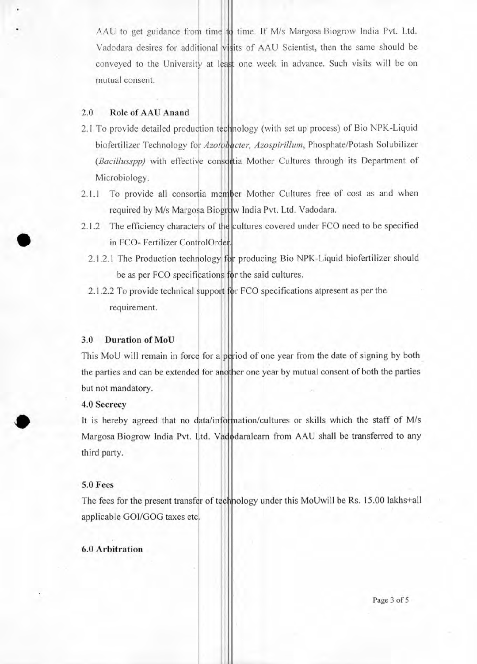AAU to get guidance from time to time. If M/s Margosa Biogrow India Pvt. Ltd. Vadodara desires for additional visits of AAU Scientist, then the same should be conveyed to the University at least one week in advance. Such visits will be on mutual consent.

## 2.0 Role of AAU Anand

- 2.1 To provide detailed production technology (with set up process) of Bio NPK-Liquid biofertilizer Technology for *Azotobacter, Azospirillum*, Phosphate/Potash Solubilizer (Bacillusspp) with effective consortia Mother Cultures through its Department of Microbiology.
- 2.1.1 To provide all consortia member Mother Cultures free of cost as and when required by M/s Margosa Biogrow India Pvt. Ltd. Vadodara.
- 2.1.2 The efficiency characters of the cultures covered under FCO need to be specified in FCO- Fertilizer ControlOrder.
	- 2.1.2.1 The Production technology for producing Bio NPK-Liquid biofertilizer should be as per FCO specifications for the said cultures.
	- 2.1.2.2 To provide technical support for FCO specifications atpresent as per the requirement.

## 3.0 Duration of MoU

This MoU will remain in force for a period of one year from the date of signing by both the parties and can be extended for another one year by mutual consent of both the parties but not mandatory.

## 4.0 Secrecy

It is hereby agreed that no data/information/cultures or skills which the staff of M/s Margosa Biogrow India Pvt. Ltd. Vadodaralearn from AAU shall be transferred to any third party.

## 5.0 Fees

The fees for the present transfer of technology under this MoUwill be Rs. 15.00 lakhs+all applicable GOl/GOG taxes etc

## 6.0 Arbitration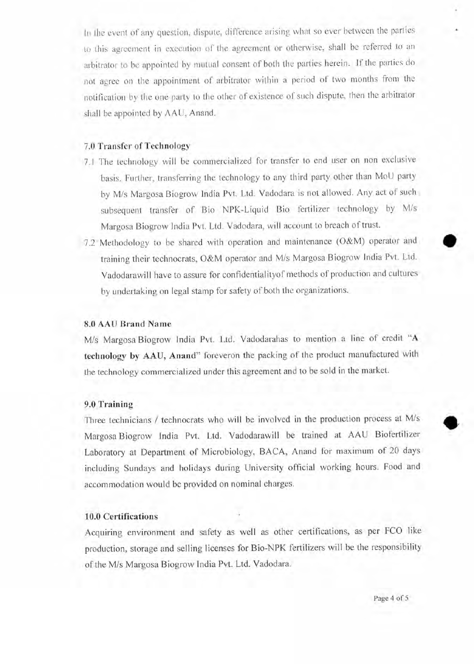In the event of any question, dispute, difference arising what so ever between the parties to this agreement in execution of the agreement or otherwise, shall be referred to an arbitrator to be appointed by mutual consent of both the parties herein. If the parties do not agree on the appointment of arbitrator within a period of two months from the notification by the one party to the other of existence of such dispute, then the arbitrator shall be appointed by AAU, Anand.

## 7.0 Transfer of Technology

- 7.1 The technology will be commercialized for transfer to end user on non exclusive basis. Further, transferring the technology to any third party other than MoU party by M/s Margosa Biogrow India Pvt. Ltd. Vadodara is not allowed. Any act of such subsequent transfer of Bio NPK-Liquid Bio fertilizer technology by M/s Margosa Biogrow India Pvt. Ltd. Vadodara, will account to breach of trust.
- 7.2 Methodology to be shared with operation and maintenance (O&M) operator and training their technocrats, O&M operator and M/s Margosa Biogrow India Pvt. Ltd. Vadodarawill have to assure for confidentialityof methods of production and cultures by undertaking on legal stamp for safety of both the organizations.

## 8.0 AAU Brand Name

M/s Margosa Biogrow India Pvt. Ltd. Vadodarahas to mention a line of credit "A technology by AAU, Anand" foreveron the packing of the product manufactured with the technology commercialized under this agreement and to be sold in the market.

## 9.0 Training

Three technicians / technocrats who will be involved in the production process at M/s Margosa Biogrow India Pvt. Ltd. Vadodarawill be trained at AAU Biofertilizer Laboratory at Department of Microbiology, BACA, Anand for maximum of 20 days including Sundays and holidays during University official working hours. Food and accommodation would be provided on nominal charges.

## 10.0 Certifications

Acquiring environment and safety as well as other certifications, as per FCO like production, storage and selling licenses for Bio-NPK fertilizers will be the responsibility of the M/s Margosa Biogrow India Pvt. Ltd. Vadodara.